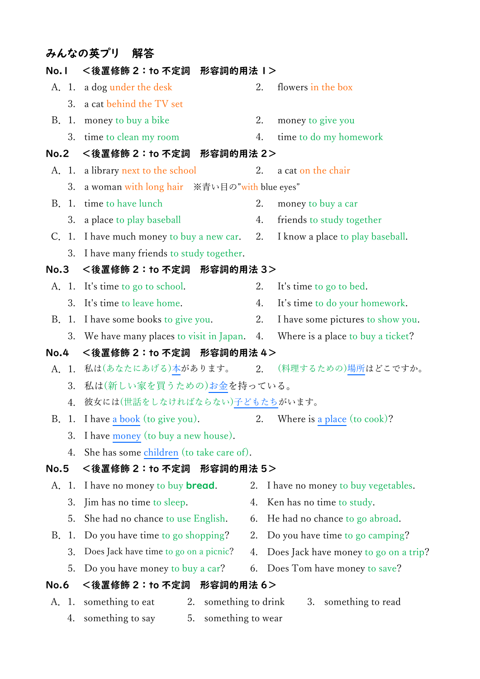## みんなの英プリ 解答

|             |       | No.1 <後置修飾 2:to 不定詞 形容詞的用法 1>                                                 |    |                                            |
|-------------|-------|-------------------------------------------------------------------------------|----|--------------------------------------------|
|             |       | A. 1. a dog under the desk                                                    | 2. | flowers in the box                         |
|             |       | 3. a cat behind the TV set                                                    |    |                                            |
| B.          |       | 1. money to buy a bike                                                        | 2. | money to give you                          |
|             | 3.    | time to clean my room                                                         | 4. | time to do my homework                     |
| No.2        |       | <後置修飾 2:to 不定詞<br>形容詞的用法 2>                                                   |    |                                            |
|             |       | A. 1. a library next to the school                                            | 2. | a cat on the chair                         |
|             | 3.    | a woman with long hair ※青い目の"with blue eyes"                                  |    |                                            |
| B.          | 1.    | time to have lunch                                                            | 2. | money to buy a car                         |
|             | 3.    | a place to play baseball                                                      | 4. | friends to study together                  |
|             |       | C. 1. I have much money to buy a new car. 2. I know a place to play baseball. |    |                                            |
|             | 3.    | I have many friends to study together.                                        |    |                                            |
| No.3        |       | <後置修飾 2:to 不定詞 形容詞的用法 3>                                                      |    |                                            |
|             |       | A. 1. It's time to go to school.                                              | 2. | It's time to go to bed.                    |
|             | 3.    | It's time to leave home.                                                      | 4. | It's time to do your homework.             |
| B.          | 1.    | I have some books to give you.                                                | 2. | I have some pictures to show you.          |
|             | 3.    | We have many places to visit in Japan. 4. Where is a place to buy a ticket?   |    |                                            |
| No.4        |       | <後置修飾 2:to 不定詞 形容詞的用法 4>                                                      |    |                                            |
|             |       | A. 1. 私は(あなたにあげる)本があります。 2. (料理するための)場所はどこですか。                                |    |                                            |
|             | 3.    | 私は(新しい家を買うための)お金を持っている。                                                       |    |                                            |
|             |       | 彼女には(世話をしなければならない)子どもたちがいます。                                                  |    |                                            |
|             | 4.    |                                                                               |    |                                            |
|             |       | B. 1. I have a book (to give you).                                            |    | 2. Where is a place (to cook)?             |
|             | 3.    | I have money (to buy a new house).                                            |    |                                            |
|             | 4.    | She has some children (to take care of).                                      |    |                                            |
| <b>No.5</b> |       | 形容詞的用法 5><br><後置修飾 2:to 不定詞                                                   |    |                                            |
| A.          | 1.    | I have no money to buy <b>bread</b> .                                         | 2. | I have no money to buy vegetables.         |
|             | 3.    | Jim has no time to sleep.                                                     | 4. | Ken has no time to study.                  |
|             | 5.    | She had no chance to use English.                                             | 6. | He had no chance to go abroad.             |
| B.          | 1.    | Do you have time to go shopping?                                              | 2. | Do you have time to go camping?            |
|             | 3.    | Does Jack have time to go on a picnic?                                        | 4. | Does Jack have money to go on a trip?      |
|             | 5.    | Do you have money to buy a car?                                               | 6. | Does Tom have money to save?               |
| <b>No.6</b> |       | <後置修飾 2:to 不定詞<br>形容詞的用法 6>                                                   |    |                                            |
|             | A. 1. | something to eat                                                              |    | 2. something to drink 3. something to read |